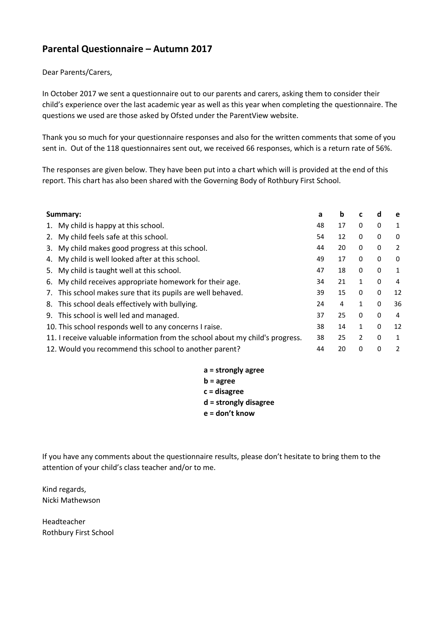## **Parental Questionnaire – Autumn 2017**

## Dear Parents/Carers,

In October 2017 we sent a questionnaire out to our parents and carers, asking them to consider their child's experience over the last academic year as well as this year when completing the questionnaire. The questions we used are those asked by Ofsted under the ParentView website.

Thank you so much for your questionnaire responses and also for the written comments that some of you sent in. Out of the 118 questionnaires sent out, we received 66 responses, which is a return rate of 56%.

The responses are given below. They have been put into a chart which will is provided at the end of this report. This chart has also been shared with the Governing Body of Rothbury First School.

| Summary: |                                                                               | a  | b  | c              | d            | e  |
|----------|-------------------------------------------------------------------------------|----|----|----------------|--------------|----|
|          | 1. My child is happy at this school.                                          | 48 | 17 | 0              | 0            | 1  |
|          | 2. My child feels safe at this school.                                        | 54 | 12 | $\mathbf{0}$   | 0            | 0  |
|          | 3. My child makes good progress at this school.                               | 44 | 20 | 0              | 0            | 2  |
|          | 4. My child is well looked after at this school.                              | 49 | 17 | 0              | 0            | 0  |
|          | 5. My child is taught well at this school.                                    | 47 | 18 | $\mathbf{0}$   | 0            | 1  |
|          | 6. My child receives appropriate homework for their age.                      | 34 | 21 | 1              | 0            | 4  |
| 7.       | This school makes sure that its pupils are well behaved.                      | 39 | 15 | $\mathbf{0}$   | 0            | 12 |
|          | 8. This school deals effectively with bullying.                               | 24 | 4  | 1              | $\Omega$     | 36 |
|          | 9. This school is well led and managed.                                       | 37 | 25 | $\mathbf{0}$   | $\mathbf{0}$ | 4  |
|          | 10. This school responds well to any concerns I raise.                        | 38 | 14 | 1              | $\mathbf{0}$ | 12 |
|          | 11. I receive valuable information from the school about my child's progress. | 38 | 25 | $\overline{2}$ | $\mathbf{0}$ | 1  |
|          | 12. Would you recommend this school to another parent?                        | 44 | 20 | $\mathbf{0}$   | $\Omega$     | 2  |

| a = strongly agree    |
|-----------------------|
| $b = a$ gree          |
| c = disagree          |
| d = strongly disagree |
| e = don't know        |

If you have any comments about the questionnaire results, please don't hesitate to bring them to the attention of your child's class teacher and/or to me.

Kind regards, Nicki Mathewson

Headteacher Rothbury First School